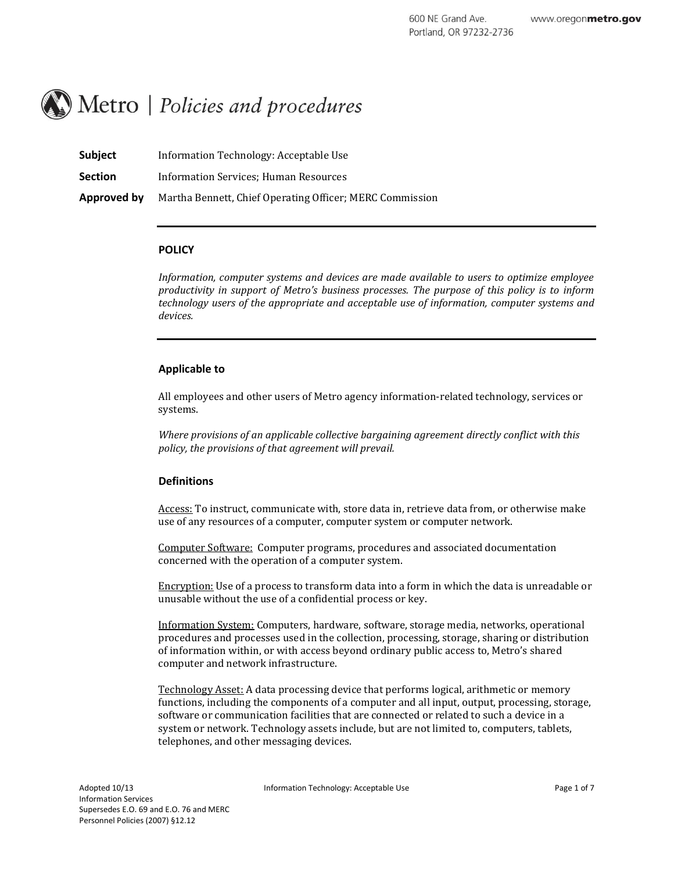# $\mathbb{R}$  Metro | Policies and procedures

| <b>Subject</b> | Information Technology: Acceptable Use                   |
|----------------|----------------------------------------------------------|
| <b>Section</b> | Information Services; Human Resources                    |
| Approved by    | Martha Bennett, Chief Operating Officer; MERC Commission |

#### **POLICY**

*Information, computer systems and devices are made available to users to optimize employee productivity in support of Metro's business processes. The purpose of this policy is to inform technology users of the appropriate and acceptable use of information, computer systems and devices.* 

#### **Applicable to**

All employees and other users of Metro agency information-related technology, services or systems.

*Where provisions of an applicable collective bargaining agreement directly conflict with this policy, the provisions of that agreement will prevail.*

#### **Definitions**

Access: To instruct, communicate with, store data in, retrieve data from, or otherwise make use of any resources of a computer, computer system or computer network.

Computer Software: Computer programs, procedures and associated documentation concerned with the operation of a computer system.

Encryption: Use of a process to transform data into a form in which the data is unreadable or unusable without the use of a confidential process or key.

Information System: Computers, hardware, software, storage media, networks, operational procedures and processes used in the collection, processing, storage, sharing or distribution of information within, or with access beyond ordinary public access to, Metro's shared computer and network infrastructure.

Technology Asset: A data processing device that performs logical, arithmetic or memory functions, including the components of a computer and all input, output, processing, storage, software or communication facilities that are connected or related to such a device in a system or network. Technology assets include, but are not limited to, computers, tablets, telephones, and other messaging devices.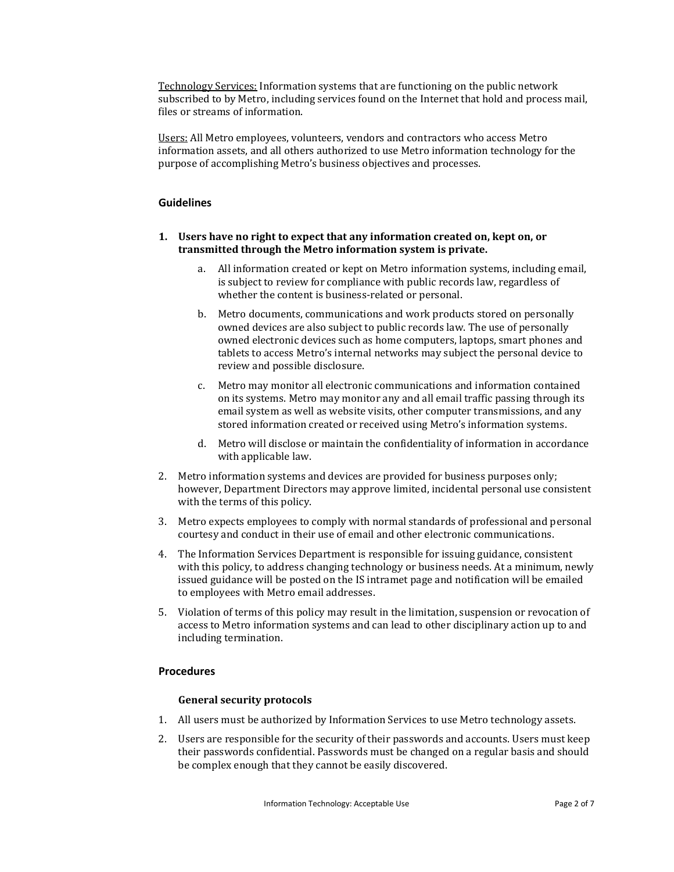Technology Services: Information systems that are functioning on the public network subscribed to by Metro, including services found on the Internet that hold and process mail, files or streams of information.

Users: All Metro employees, volunteers, vendors and contractors who access Metro information assets, and all others authorized to use Metro information technology for the purpose of accomplishing Metro's business objectives and processes.

## **Guidelines**

## **1. Users have no right to expect that any information created on, kept on, or transmitted through the Metro information system is private.**

- a. All information created or kept on Metro information systems, including email, is subject to review for compliance with public records law, regardless of whether the content is business-related or personal.
- b. Metro documents, communications and work products stored on personally owned devices are also subject to public records law. The use of personally owned electronic devices such as home computers, laptops, smart phones and tablets to access Metro's internal networks may subject the personal device to review and possible disclosure.
- c. Metro may monitor all electronic communications and information contained on its systems. Metro may monitor any and all email traffic passing through its email system as well as website visits, other computer transmissions, and any stored information created or received using Metro's information systems.
- d. Metro will disclose or maintain the confidentiality of information in accordance with applicable law.
- 2. Metro information systems and devices are provided for business purposes only; however, Department Directors may approve limited, incidental personal use consistent with the terms of this policy.
- 3. Metro expects employees to comply with normal standards of professional and personal courtesy and conduct in their use of email and other electronic communications.
- 4. The Information Services Department is responsible for issuing guidance, consistent with this policy, to address changing technology or business needs. At a minimum, newly issued guidance will be posted on the IS intramet page and notification will be emailed to employees with Metro email addresses.
- 5. Violation of terms of this policy may result in the limitation, suspension or revocation of access to Metro information systems and can lead to other disciplinary action up to and including termination.

# **Procedures**

## **General security protocols**

- 1. All users must be authorized by Information Services to use Metro technology assets.
- 2. Users are responsible for the security of their passwords and accounts. Users must keep their passwords confidential. Passwords must be changed on a regular basis and should be complex enough that they cannot be easily discovered.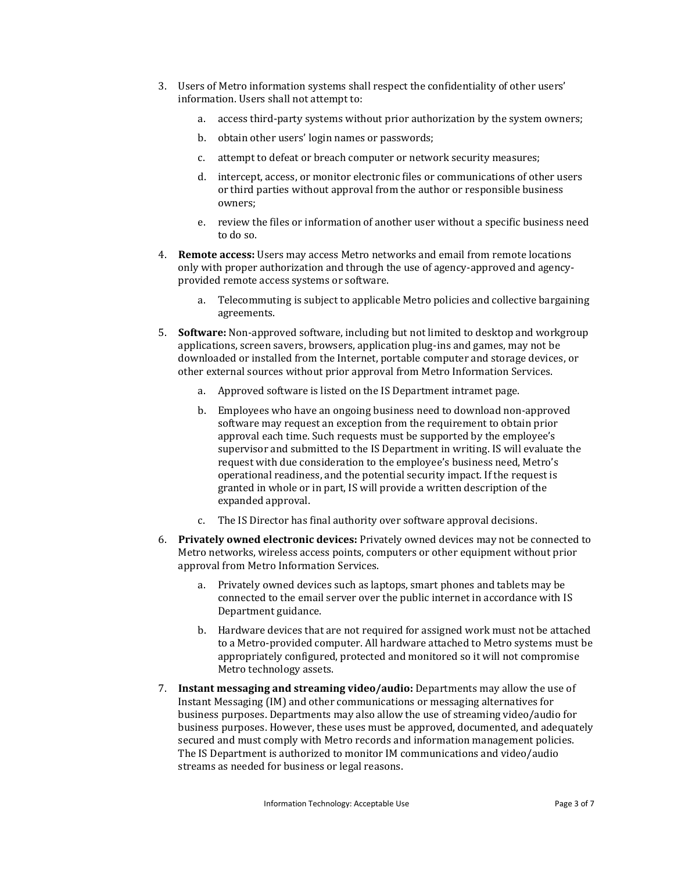- 3. Users of Metro information systems shall respect the confidentiality of other users' information. Users shall not attempt to:
	- a. access third-party systems without prior authorization by the system owners;
	- b. obtain other users' login names or passwords;
	- c. attempt to defeat or breach computer or network security measures;
	- d. intercept, access, or monitor electronic files or communications of other users or third parties without approval from the author or responsible business owners;
	- e. review the files or information of another user without a specific business need to do so.
- 4. **Remote access:** Users may access Metro networks and email from remote locations only with proper authorization and through the use of agency-approved and agencyprovided remote access systems or software.
	- a. Telecommuting is subject to applicable Metro policies and collective bargaining agreements.
- 5. **Software:** Non-approved software, including but not limited to desktop and workgroup applications, screen savers, browsers, application plug-ins and games, may not be downloaded or installed from the Internet, portable computer and storage devices, or other external sources without prior approval from Metro Information Services.
	- a. Approved software is listed on the IS Department intramet page.
	- b. Employees who have an ongoing business need to download non-approved software may request an exception from the requirement to obtain prior approval each time. Such requests must be supported by the employee's supervisor and submitted to the IS Department in writing. IS will evaluate the request with due consideration to the employee's business need, Metro's operational readiness, and the potential security impact. If the request is granted in whole or in part, IS will provide a written description of the expanded approval.
	- c. The IS Director has final authority over software approval decisions.
- 6. **Privately owned electronic devices:** Privately owned devices may not be connected to Metro networks, wireless access points, computers or other equipment without prior approval from Metro Information Services.
	- a. Privately owned devices such as laptops, smart phones and tablets may be connected to the email server over the public internet in accordance with IS Department guidance.
	- b. Hardware devices that are not required for assigned work must not be attached to a Metro-provided computer. All hardware attached to Metro systems must be appropriately configured, protected and monitored so it will not compromise Metro technology assets.
- 7. **Instant messaging and streaming video/audio:** Departments may allow the use of Instant Messaging (IM) and other communications or messaging alternatives for business purposes. Departments may also allow the use of streaming video/audio for business purposes. However, these uses must be approved, documented, and adequately secured and must comply with Metro records and information management policies. The IS Department is authorized to monitor IM communications and video/audio streams as needed for business or legal reasons.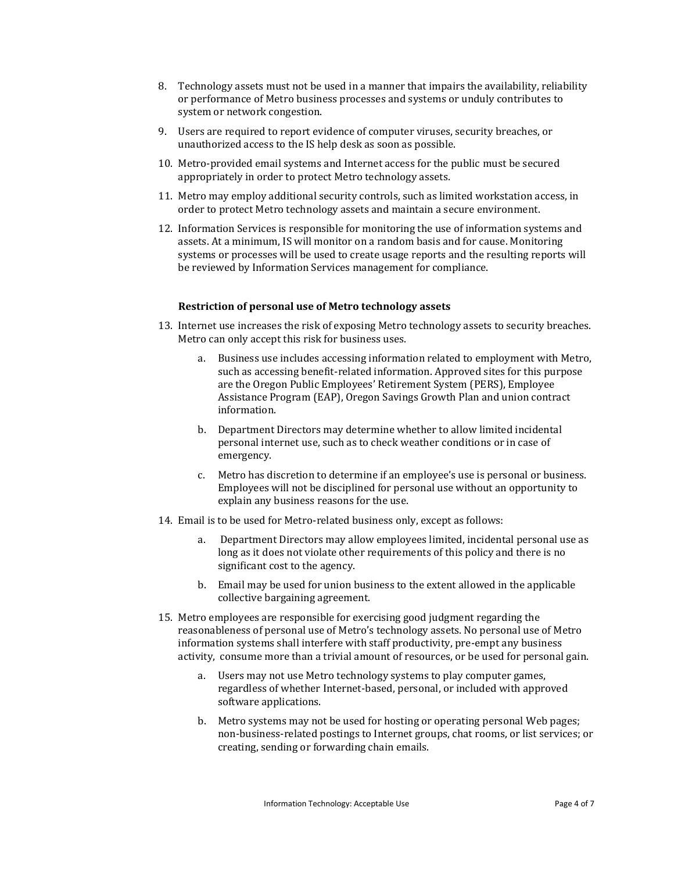- 8. Technology assets must not be used in a manner that impairs the availability, reliability or performance of Metro business processes and systems or unduly contributes to system or network congestion.
- 9. Users are required to report evidence of computer viruses, security breaches, or unauthorized access to the IS help desk as soon as possible.
- 10. Metro-provided email systems and Internet access for the public must be secured appropriately in order to protect Metro technology assets.
- 11. Metro may employ additional security controls, such as limited workstation access, in order to protect Metro technology assets and maintain a secure environment.
- 12. Information Services is responsible for monitoring the use of information systems and assets. At a minimum, IS will monitor on a random basis and for cause. Monitoring systems or processes will be used to create usage reports and the resulting reports will be reviewed by Information Services management for compliance.

#### **Restriction of personal use of Metro technology assets**

- 13. Internet use increases the risk of exposing Metro technology assets to security breaches. Metro can only accept this risk for business uses.
	- a. Business use includes accessing information related to employment with Metro, such as accessing benefit-related information. Approved sites for this purpose are the Oregon Public Employees' Retirement System (PERS), Employee Assistance Program (EAP), Oregon Savings Growth Plan and union contract information.
	- b. Department Directors may determine whether to allow limited incidental personal internet use, such as to check weather conditions or in case of emergency.
	- c. Metro has discretion to determine if an employee's use is personal or business. Employees will not be disciplined for personal use without an opportunity to explain any business reasons for the use.
- 14. Email is to be used for Metro-related business only, except as follows:
	- a. Department Directors may allow employees limited, incidental personal use as long as it does not violate other requirements of this policy and there is no significant cost to the agency.
	- b. Email may be used for union business to the extent allowed in the applicable collective bargaining agreement.
- 15. Metro employees are responsible for exercising good judgment regarding the reasonableness of personal use of Metro's technology assets. No personal use of Metro information systems shall interfere with staff productivity, pre-empt any business activity, consume more than a trivial amount of resources, or be used for personal gain.
	- a. Users may not use Metro technology systems to play computer games, regardless of whether Internet-based, personal, or included with approved software applications.
	- b. Metro systems may not be used for hosting or operating personal Web pages; non-business-related postings to Internet groups, chat rooms, or list services; or creating, sending or forwarding chain emails.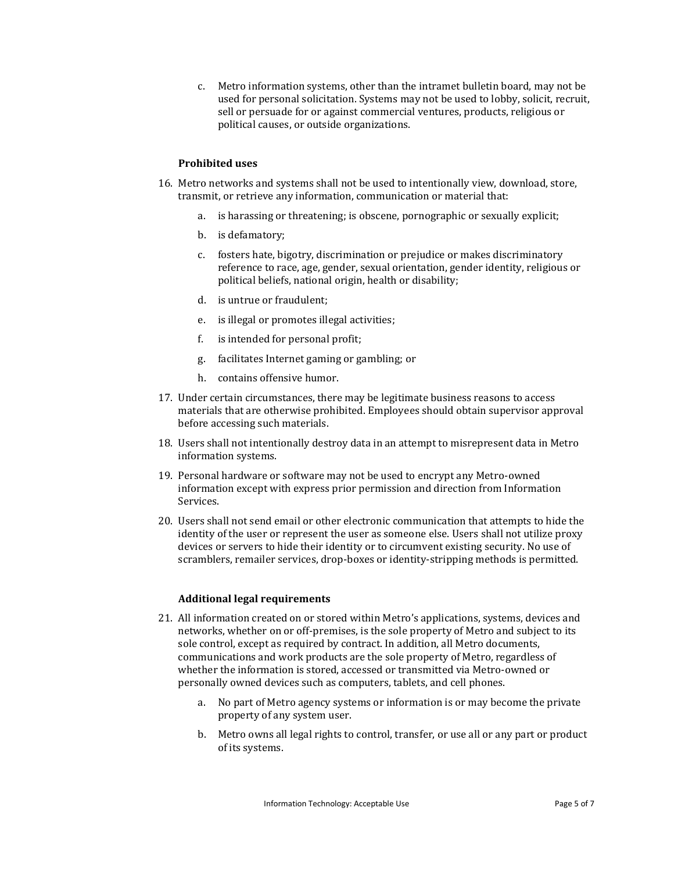c. Metro information systems, other than the intramet bulletin board, may not be used for personal solicitation. Systems may not be used to lobby, solicit, recruit, sell or persuade for or against commercial ventures, products, religious or political causes, or outside organizations.

#### **Prohibited uses**

- 16. Metro networks and systems shall not be used to intentionally view, download, store, transmit, or retrieve any information, communication or material that:
	- a. is harassing or threatening; is obscene, pornographic or sexually explicit;
	- b. is defamatory;
	- c. fosters hate, bigotry, discrimination or prejudice or makes discriminatory reference to race, age, gender, sexual orientation, gender identity, religious or political beliefs, national origin, health or disability;
	- d. is untrue or fraudulent;
	- e. is illegal or promotes illegal activities;
	- f. is intended for personal profit;
	- g. facilitates Internet gaming or gambling; or
	- h. contains offensive humor.
- 17. Under certain circumstances, there may be legitimate business reasons to access materials that are otherwise prohibited. Employees should obtain supervisor approval before accessing such materials.
- 18. Users shall not intentionally destroy data in an attempt to misrepresent data in Metro information systems.
- 19. Personal hardware or software may not be used to encrypt any Metro-owned information except with express prior permission and direction from Information Services.
- 20. Users shall not send email or other electronic communication that attempts to hide the identity of the user or represent the user as someone else. Users shall not utilize proxy devices or servers to hide their identity or to circumvent existing security. No use of scramblers, remailer services, drop-boxes or identity-stripping methods is permitted.

## **Additional legal requirements**

- 21. All information created on or stored within Metro's applications, systems, devices and networks, whether on or off-premises, is the sole property of Metro and subject to its sole control, except as required by contract. In addition, all Metro documents, communications and work products are the sole property of Metro, regardless of whether the information is stored, accessed or transmitted via Metro-owned or personally owned devices such as computers, tablets, and cell phones.
	- a. No part of Metro agency systems or information is or may become the private property of any system user.
	- b. Metro owns all legal rights to control, transfer, or use all or any part or product of its systems.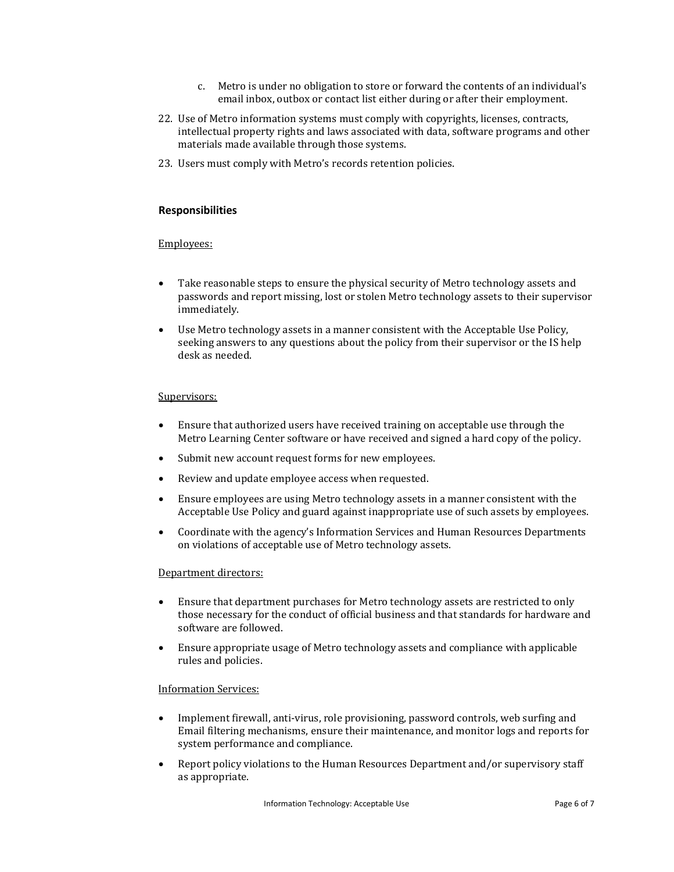- c. Metro is under no obligation to store or forward the contents of an individual's email inbox, outbox or contact list either during or after their employment.
- 22. Use of Metro information systems must comply with copyrights, licenses, contracts, intellectual property rights and laws associated with data, software programs and other materials made available through those systems.
- 23. Users must comply with Metro's records retention policies.

## **Responsibilities**

#### Employees:

- Take reasonable steps to ensure the physical security of Metro technology assets and passwords and report missing, lost or stolen Metro technology assets to their supervisor immediately.
- Use Metro technology assets in a manner consistent with the Acceptable Use Policy, seeking answers to any questions about the policy from their supervisor or the IS help desk as needed.

#### Supervisors:

- Ensure that authorized users have received training on acceptable use through the Metro Learning Center software or have received and signed a hard copy of the policy.
- Submit new account request forms for new employees.
- Review and update employee access when requested.
- Ensure employees are using Metro technology assets in a manner consistent with the Acceptable Use Policy and guard against inappropriate use of such assets by employees.
- Coordinate with the agency's Information Services and Human Resources Departments on violations of acceptable use of Metro technology assets.

#### Department directors:

- Ensure that department purchases for Metro technology assets are restricted to only those necessary for the conduct of official business and that standards for hardware and software are followed.
- Ensure appropriate usage of Metro technology assets and compliance with applicable rules and policies.

#### Information Services:

- Implement firewall, anti-virus, role provisioning, password controls, web surfing and Email filtering mechanisms, ensure their maintenance, and monitor logs and reports for system performance and compliance.
- Report policy violations to the Human Resources Department and/or supervisory staff as appropriate.